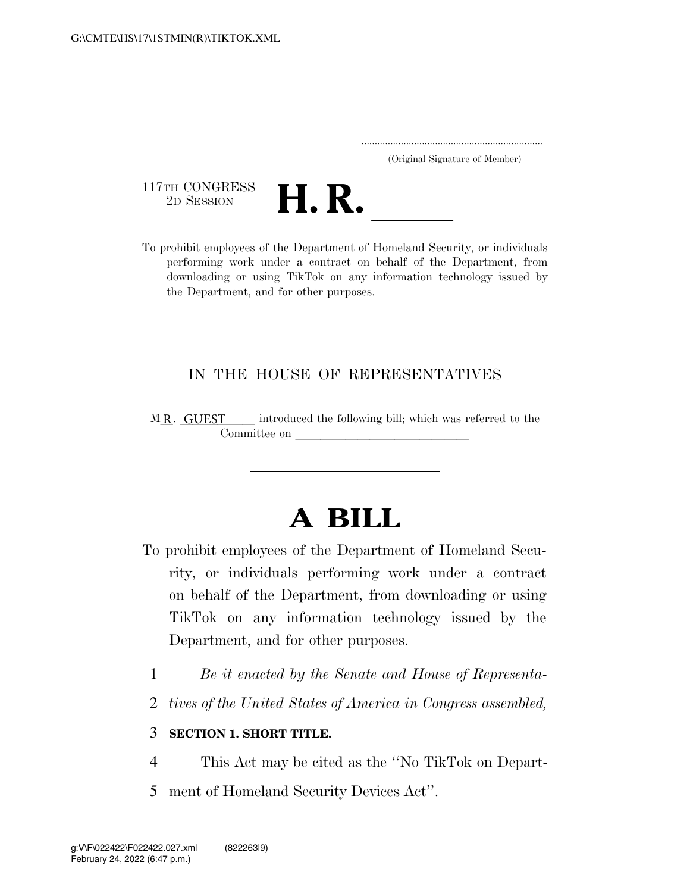..................................................................... (Original Signature of Member)

117TH CONGRESS<br>2D SESSION



<sup>117</sup>TH CONGRESS<br>
<sup>2D SESSION</sup><br> **H.** R. <u>Individuals</u><br> **Department of Homeland Security, or individuals** performing work under a contract on behalf of the Department, from downloading or using TikTok on any information technology issued by the Department, and for other purposes.

## IN THE HOUSE OF REPRESENTATIVES

introduced the following bill; which was referred to the Committee on MR. GUEST

## **A BILL**

- To prohibit employees of the Department of Homeland Security, or individuals performing work under a contract on behalf of the Department, from downloading or using TikTok on any information technology issued by the Department, and for other purposes.
	- 1 *Be it enacted by the Senate and House of Representa-*
	- 2 *tives of the United States of America in Congress assembled,*

## 3 **SECTION 1. SHORT TITLE.**

- 4 This Act may be cited as the ''No TikTok on Depart-
- 5 ment of Homeland Security Devices Act''.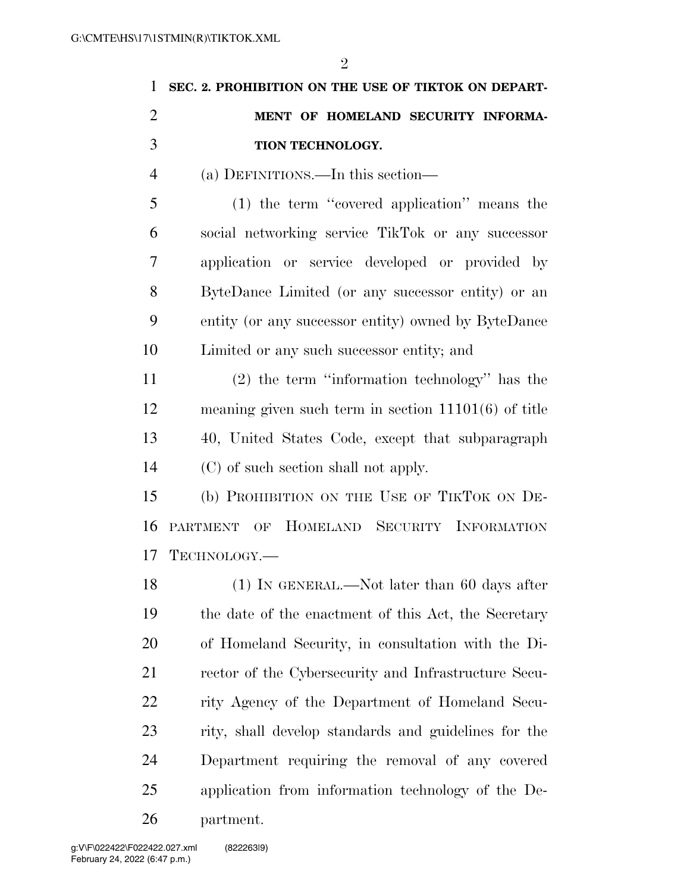| 1 SEC. 2. PROHIBITION ON THE USE OF TIKTOK ON DEPART- |
|-------------------------------------------------------|
| MENT OF HOMELAND SECURITY INFORMA-                    |
| <b>TION TECHNOLOGY.</b>                               |

(a) DEFINITIONS.—In this section—

 (1) the term ''covered application'' means the social networking service TikTok or any successor application or service developed or provided by ByteDance Limited (or any successor entity) or an entity (or any successor entity) owned by ByteDance Limited or any such successor entity; and

 (2) the term ''information technology'' has the meaning given such term in section 11101(6) of title 40, United States Code, except that subparagraph (C) of such section shall not apply.

 (b) PROHIBITION ON THE USE OF TIKTOK ON DE- PARTMENT OF HOMELAND SECURITY INFORMATION TECHNOLOGY.—

18 (1) IN GENERAL.—Not later than 60 days after the date of the enactment of this Act, the Secretary of Homeland Security, in consultation with the Di- rector of the Cybersecurity and Infrastructure Secu- rity Agency of the Department of Homeland Secu- rity, shall develop standards and guidelines for the Department requiring the removal of any covered application from information technology of the De-partment.